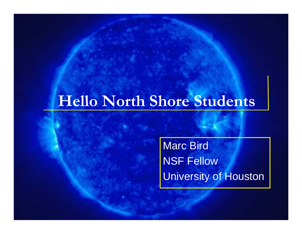## **Hello North Shore Students**

Marc Bird NSF Fellow University of Houston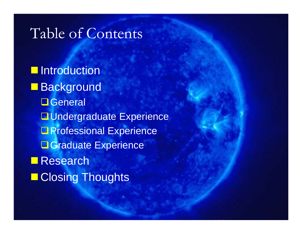#### Table of Contents

**Introduction ■Background O**General **<u>El</u>**Undergraduate Experience **D** Professional Experience **L** Graduate Experience **Research Reading Thoughts**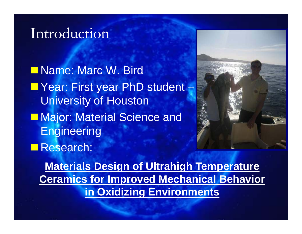#### Introduction

**Name: Marc W. Bird Direct** ■ Year: First year PhD student – **University of Houston Major: Material Science and Engineering Research:** 



**Materials Design of Ultrahigh Temperature Ceramics for Improved Mechanical Behavior in Oxidizing Environments**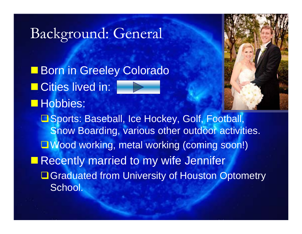#### Background: General

**Born in Greeley Colorado Cities lived in: Hobbies: □ Sports: Baseball, Ice Hockey, Golf, Football,** Snow Boarding, various other outdoor activities. ■Wood working, metal working (coming soon!) **Recently married to my wife Jennifer □ Graduated from University of Houston Optometry** School.

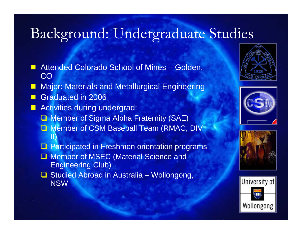## Background: Undergraduate Studies

- **C**  Attended Colorado School of Mines – Golden, CO
- **C** Major: Materials and Metallurgical Engineering
- **C** Graduated in 2006
- $\Box$  Activities during undergrad:
	- **□ Member of Sigma Alpha Fraternity (SAE)**
	- **Q** Member of CSM Baseball Team (RMAC, DIV II)
	- **Q** Participated in Freshmen orientation programs
	- **Member of MSEC (Material Science and** Engineering Club)
	- **□ Studied Abroad in Australia Wollongong,** NSW







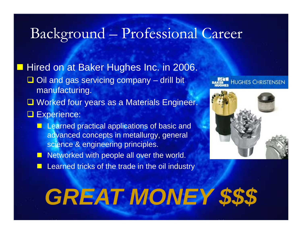### Background – Professional Career

Hired on at Baker Hughes Inc. in 2006.  $\Box$  Oil and gas servicing company – drill bit manufacturing. **Q** Worked four years as a Materials Engineer. **Q** Experience: **Learned practical applications of basic and** advanced concepts in metallurgy, general science & engineering principles.

> **Contract** Networked with people all over the world.

**Contract** Learned tricks of the trade in the oil industry

# **HUGHES CHRISTENSEN**



# *GREAT MONEY \$\$\$*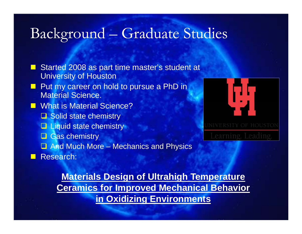#### Background – Graduate Studies

**C**  Started 2008 as part time master's student at University of Houston **C**  Put my career on hold to pursue a PhD in Material Science. **No. 8 Material Science?** Solid state chemistry **Q** Liquid state chemistry **Q** Gas chemistry **Q** And Much More – Mechanics and Physics  $\Box$ Research:



**Materials Design of Ultrahigh Temperature Ceramics for Improved Mechanical Behavior in Oxidizing Environments**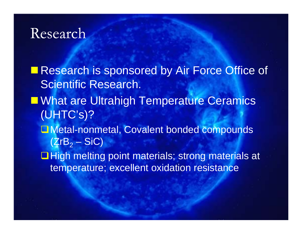Research is sponsored by Air Force Office of Scientific Research. **E What are Ultrahigh Temperature Ceramics** (UHTC's)? **L** Metal-nonmetal, Covalent bonded compounds (ZrB $_{\rm 2}$  – SiC)  $\Box$  High melting point materials; strong materials at temperature; excellent oxidation resistance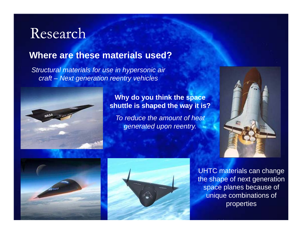#### **Where are these materials used?**

*Structural materials for use in hypersonic air craft – Next generation reentry vehicles*



**Why do you think the space shuttle is shaped the way it is?**

*To reduce the amount of heat generated upon reentry.*







UHTC materials can change the shape of next generation space planes because of unique combinations of properties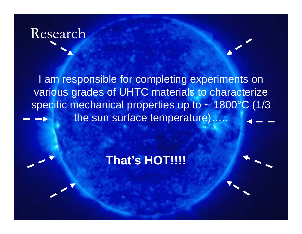I am responsible for completing experiments on various grades of UHTC materials to characterize specific mechanical properties up to  $\sim$  1800 $^{\circ}$ C (1/3) the sun surface temperature)…..

#### **That s' HOT!!!!**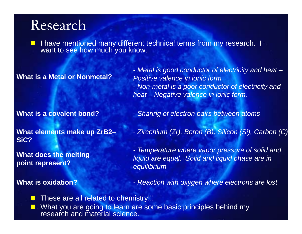**Service Service** I have mentioned many different technical terms from my research. I want to see how much you know.

#### **What is a Metal or Nonmetal?**

- *Metal is good conductor of electricity and heat – g y Positive valence in ionic form*- *Non-metal is a poor conductor of electricity and heat – Negative valence in ionic form.*

**What is a covalent bond?**

- *Sharing of electron pairs between atoms*

**What elements make up ZrB2 SiC?**

**What does the melting i t t? point represent?**

#### **What is oxidation?**

**ZrB2–** *Zirconium (Zr) Boron (B) Silicon (Si) Carbon (C)* - *(Zr), (B), (Si), Carbon*

*- Temperature where vapor pressure of solid and liquid are equal. Solid and liquid phase are in equilibrium*

*- Reaction with oxygen where electrons are lost*

 These are all related to chemistry!!! H What you are going to learn are some basic principles behind my research and material science.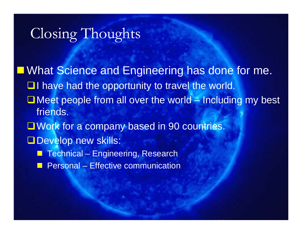### Closing Thoughts

**Nhat Science and Engineering has done for me.**  $\Box$  I have had the opportunity to travel the world.  $\Box$  Meet people from all over the world – Including my best friends. **Q** Work for a company based in 90 countries. Develop new skills: e<br>Santa Technical – Engineering, Research a<br>Ma ■ Personal – Effective communication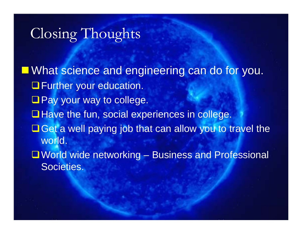### Closing Thoughts

What science and engineering can do for you. **O** Further your education.  $\square$  Pay your way to college. **Have the fun, social experiences in college.**  $\Box$  Get a well paying job that can allow you to travel the world. ■ World wide networking – Business and Professional Societies.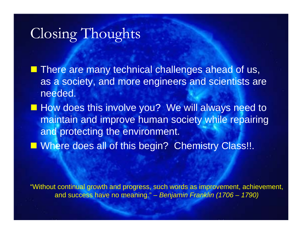### Closing Thoughts

 $\blacksquare$  There are many technical challenges ahead of us, as a society, and more engineers and scientists are needed.

**How does this involve you? We will always need to** maintain and improve human society while repairing and protecting the environment.

**Number 2008 all of this begin? Chemistry Class!!.** 

"Without continual growth and progress, such words as improvement, achievement, and success have no meaning." – *Benjamin Franklin (1706 – 1790)*